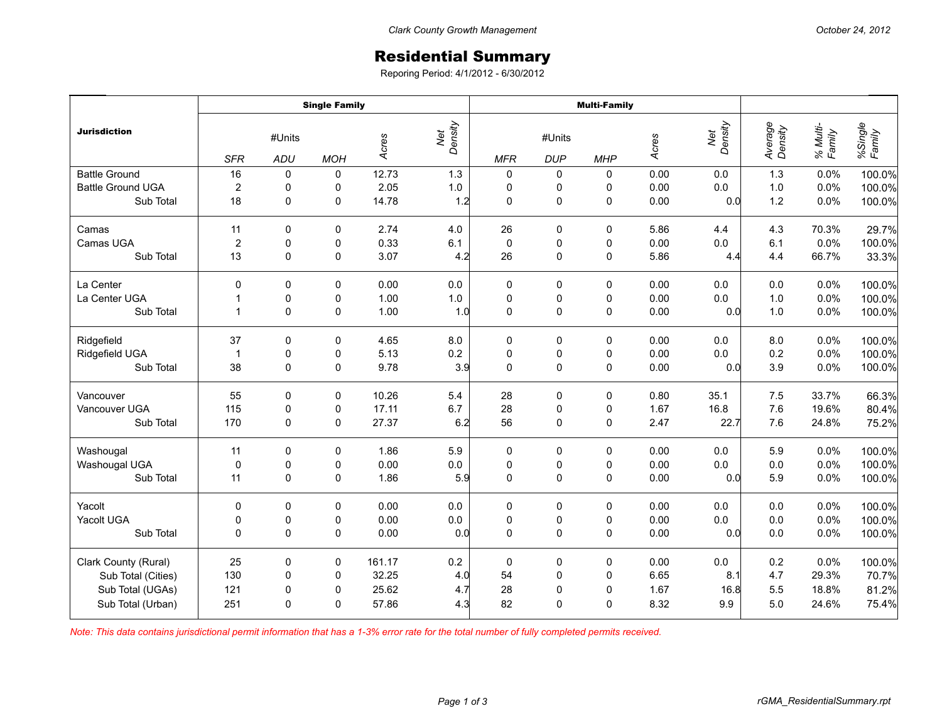## Residential Summary

Reporing Period: 4/1/2012 - 6/30/2012

|                          | <b>Single Family</b> |                      |             |        |                | <b>Multi-Family</b> |                      |             |       |                |                    |                    |                   |
|--------------------------|----------------------|----------------------|-------------|--------|----------------|---------------------|----------------------|-------------|-------|----------------|--------------------|--------------------|-------------------|
| <b>Jurisdiction</b>      | <b>SFR</b>           | #Units<br><b>ADU</b> | <b>MOH</b>  | Acres  | Net<br>Density | <b>MFR</b>          | #Units<br><b>DUP</b> | <b>MHP</b>  | Acres | Density<br>Net | Average<br>Density | % Multi-<br>Family | %Single<br>Family |
| <b>Battle Ground</b>     | 16                   | $\pmb{0}$            | $\pmb{0}$   | 12.73  | 1.3            | $\mathbf 0$         | 0                    | 0           | 0.00  | 0.0            | 1.3                | 0.0%               | 100.0%            |
| <b>Battle Ground UGA</b> | 2                    | $\pmb{0}$            | 0           | 2.05   | $1.0\,$        | $\pmb{0}$           | 0                    | 0           | 0.00  | 0.0            | 1.0                | 0.0%               | 100.0%            |
| Sub Total                | 18                   | 0                    | 0           | 14.78  | 1.2            | $\pmb{0}$           | 0                    | $\mathbf 0$ | 0.00  | 0.0            | 1.2                | 0.0%               | 100.0%            |
| Camas                    | 11                   | 0                    | 0           | 2.74   | 4.0            | 26                  | 0                    | 0           | 5.86  | 4.4            | 4.3                | 70.3%              | 29.7%             |
| Camas UGA                | $\overline{2}$       | $\pmb{0}$            | 0           | 0.33   | 6.1            | $\pmb{0}$           | $\pmb{0}$            | $\pmb{0}$   | 0.00  | 0.0            | 6.1                | 0.0%               | 100.0%            |
| Sub Total                | 13                   | $\mathbf 0$          | $\mathbf 0$ | 3.07   | 4.2            | 26                  | 0                    | $\mathbf 0$ | 5.86  | 4.4            | 4.4                | 66.7%              | 33.3%             |
| La Center                | $\Omega$             | $\Omega$             | 0           | 0.00   | 0.0            | 0                   | 0                    | 0           | 0.00  | 0.0            | 0.0                | 0.0%               | 100.0%            |
| La Center UGA            | $\mathbf{1}$         | 0                    | 0           | 1.00   | $1.0\,$        | $\pmb{0}$           | $\pmb{0}$            | $\pmb{0}$   | 0.00  | 0.0            | 1.0                | 0.0%               | 100.0%            |
| Sub Total                | $\mathbf{1}$         | $\mathbf 0$          | $\pmb{0}$   | 1.00   | 1.0            | $\mathbf 0$         | $\mathsf 0$          | $\mathsf 0$ | 0.00  | 0.0            | 1.0                | 0.0%               | 100.0%            |
| Ridgefield               | 37                   | 0                    | 0           | 4.65   | 8.0            | 0                   | 0                    | 0           | 0.00  | 0.0            | 8.0                | 0.0%               | 100.0%            |
| Ridgefield UGA           | $\mathbf{1}$         | $\mathbf 0$          | 0           | 5.13   | 0.2            | $\pmb{0}$           | $\pmb{0}$            | $\pmb{0}$   | 0.00  | 0.0            | 0.2                | 0.0%               | 100.0%            |
| Sub Total                | 38                   | 0                    | $\pmb{0}$   | 9.78   | 3.9            | $\mathbf 0$         | $\mathsf 0$          | $\mathsf 0$ | 0.00  | 0.0            | 3.9                | 0.0%               | 100.0%            |
| Vancouver                | 55                   | $\mathbf 0$          | 0           | 10.26  | 5.4            | 28                  | $\pmb{0}$            | 0           | 0.80  | 35.1           | 7.5                | 33.7%              | 66.3%             |
| Vancouver UGA            | 115                  | $\pmb{0}$            | 0           | 17.11  | 6.7            | 28                  | $\pmb{0}$            | $\pmb{0}$   | 1.67  | 16.8           | 7.6                | 19.6%              | 80.4%             |
| Sub Total                | 170                  | $\Omega$             | $\Omega$    | 27.37  | 6.2            | 56                  | $\pmb{0}$            | $\mathbf 0$ | 2.47  | 22.7           | 7.6                | 24.8%              | 75.2%             |
| Washougal                | 11                   | $\mathbf 0$          | $\pmb{0}$   | 1.86   | 5.9            | $\pmb{0}$           | $\pmb{0}$            | 0           | 0.00  | 0.0            | 5.9                | 0.0%               | 100.0%            |
| Washougal UGA            | 0                    | $\pmb{0}$            | 0           | 0.00   | $0.0\,$        | $\pmb{0}$           | $\pmb{0}$            | $\pmb{0}$   | 0.00  | 0.0            | 0.0                | 0.0%               | 100.0%            |
| Sub Total                | 11                   | $\mathbf 0$          | $\mathbf 0$ | 1.86   | 5.9            | $\mathbf 0$         | $\pmb{0}$            | $\mathbf 0$ | 0.00  | 0.0            | 5.9                | 0.0%               | 100.0%            |
| Yacolt                   | 0                    | 0                    | 0           | 0.00   | $0.0\,$        | $\pmb{0}$           | $\pmb{0}$            | $\pmb{0}$   | 0.00  | 0.0            | 0.0                | 0.0%               | 100.0%            |
| Yacolt UGA               | 0                    | 0                    | 0           | 0.00   | $0.0\,$        | $\pmb{0}$           | $\pmb{0}$            | $\pmb{0}$   | 0.00  | $0.0\,$        | 0.0                | 0.0%               | 100.0%            |
| Sub Total                | $\Omega$             | $\Omega$             | 0           | 0.00   | 0.0            | $\mathbf 0$         | $\pmb{0}$            | $\mathbf 0$ | 0.00  | 0.0            | 0.0                | 0.0%               | 100.0%            |
| Clark County (Rural)     | 25                   | 0                    | 0           | 161.17 | 0.2            | $\mathbf 0$         | 0                    | 0           | 0.00  | 0.0            | 0.2                | 0.0%               | 100.0%            |
| Sub Total (Cities)       | 130                  | 0                    | 0           | 32.25  | 4.0            | 54                  | $\pmb{0}$            | $\pmb{0}$   | 6.65  | 8.1            | 4.7                | 29.3%              | 70.7%             |
| Sub Total (UGAs)         | 121                  | 0                    | 0           | 25.62  | 4.7            | 28                  | $\pmb{0}$            | $\pmb{0}$   | 1.67  | 16.8           | 5.5                | 18.8%              | 81.2%             |
| Sub Total (Urban)        | 251                  | $\Omega$             | 0           | 57.86  | 4.3            | 82                  | $\mathbf 0$          | $\mathbf 0$ | 8.32  | 9.9            | 5.0                | 24.6%              | 75.4%             |

*Note: This data contains jurisdictional permit information that has a 1-3% error rate for the total number of fully completed permits received.*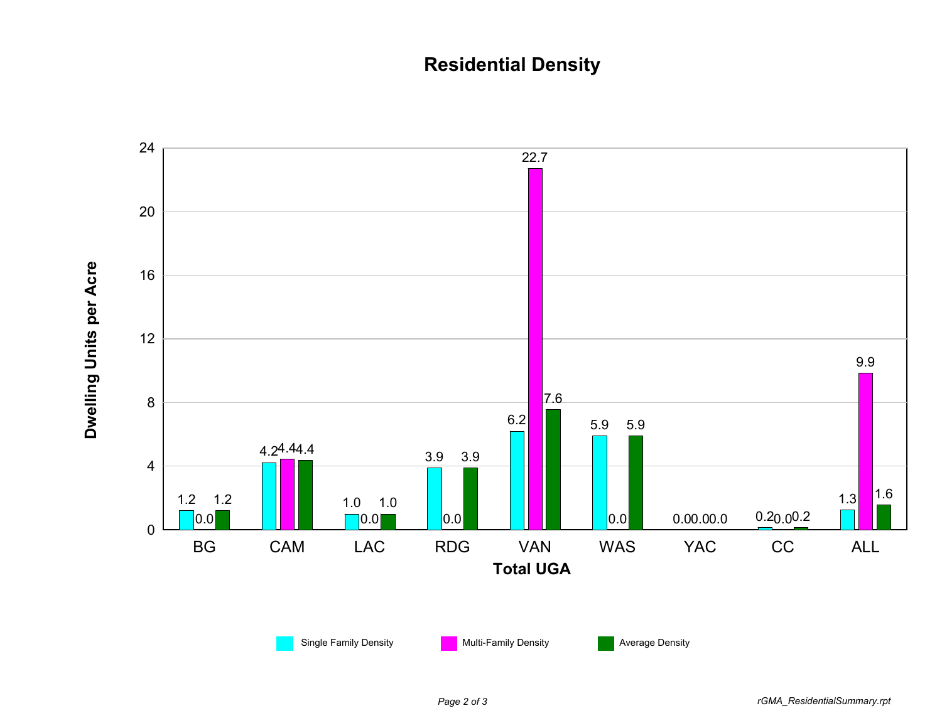## **Residential Density**